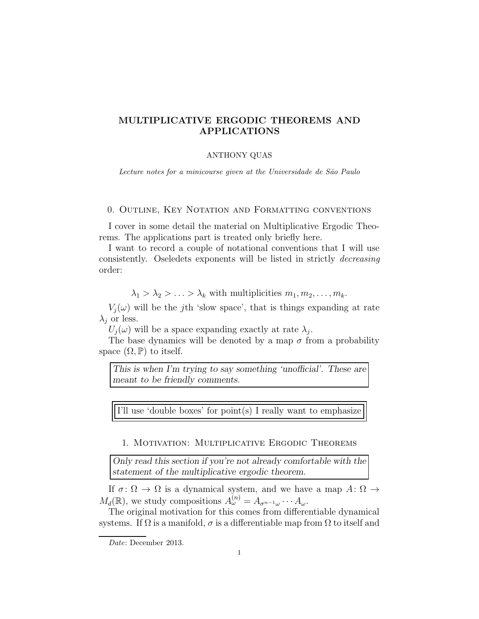# MULTIPLICATIVE ERGODIC THEOREMS AND APPLICATIONS

# ANTHONY QUAS

Lecture notes for a minicourse given at the Universidade de São Paulo

## 0. Outline, Key Notation and Formatting conventions

I cover in some detail the material on Multiplicative Ergodic Theorems. The applications part is treated only briefly here.

I want to record a couple of notational conventions that I will use consistently. Oseledets exponents will be listed in strictly decreasing order:

 $\lambda_1 > \lambda_2 > \ldots > \lambda_k$  with multiplicities  $m_1, m_2, \ldots, m_k$ .

 $V_i(\omega)$  will be the j<sup>th</sup> 'slow space', that is things expanding at rate  $\lambda_i$  or less.

 $U_j(\omega)$  will be a space expanding exactly at rate  $\lambda_j$ .

The base dynamics will be denoted by a map  $\sigma$  from a probability space  $(\Omega, \mathbb{P})$  to itself.

This is when I'm trying to say something 'unofficial'. These are meant to be friendly comments.

I'll use 'double boxes' for point(s) I really want to emphasize

# 1. Motivation: Multiplicative Ergodic Theorems

Only read this section if you're not already comfortable with the statement of the multiplicative ergodic theorem.

If  $\sigma: \Omega \to \Omega$  is a dynamical system, and we have a map  $A: \Omega \to$  $M_d(\mathbb{R})$ , we study compositions  $A_{\omega}^{(n)} = A_{\sigma^{n-1}\omega} \cdots A_{\omega}$ .

The original motivation for this comes from differentiable dynamical systems. If  $\Omega$  is a manifold,  $\sigma$  is a differentiable map from  $\Omega$  to itself and

Date: December 2013.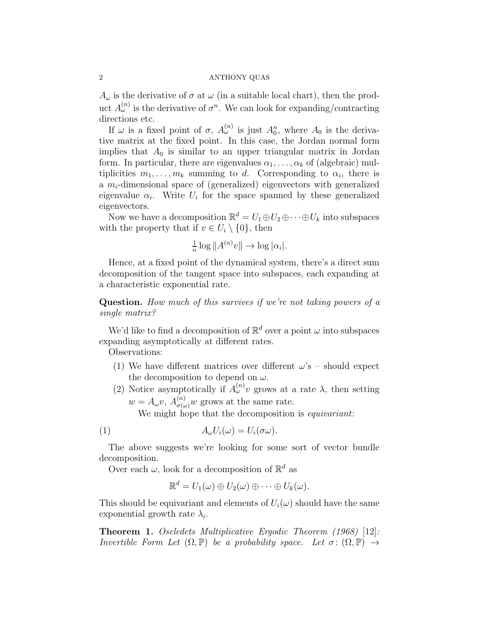$A_{\omega}$  is the derivative of  $\sigma$  at  $\omega$  (in a suitable local chart), then the product  $A_{\omega}^{(n)}$  is the derivative of  $\sigma^n$ . We can look for expanding/contracting directions etc.

If  $\omega$  is a fixed point of  $\sigma$ ,  $A_{\omega}^{(n)}$  is just  $A_0^n$ , where  $A_0$  is the derivative matrix at the fixed point. In this case, the Jordan normal form implies that  $A_0$  is similar to an upper triangular matrix in Jordan form. In particular, there are eigenvalues  $\alpha_1, \ldots, \alpha_k$  of (algebraic) multiplicities  $m_1, \ldots, m_k$  summing to d. Corresponding to  $\alpha_i$ , there is a  $m_i$ -dimensional space of (generalized) eigenvectors with generalized eigenvalue  $\alpha_i$ . Write  $U_i$  for the space spanned by these generalized eigenvectors.

Now we have a decomposition  $\mathbb{R}^d = U_1 \oplus U_2 \oplus \cdots \oplus U_k$  into subspaces with the property that if  $v \in U_i \setminus \{0\}$ , then

$$
\frac{1}{n}\log||A^{(n)}v|| \to \log|\alpha_i|.
$$

Hence, at a fixed point of the dynamical system, there's a direct sum decomposition of the tangent space into subspaces, each expanding at a characteristic exponential rate.

Question. How much of this survives if we're not taking powers of a single matrix?

We'd like to find a decomposition of  $\mathbb{R}^d$  over a point  $\omega$  into subspaces expanding asymptotically at different rates.

Observations:

- (1) We have different matrices over different  $\omega$ 's should expect the decomposition to depend on  $\omega$ .
- (2) Notice asymptotically if  $A_{\omega}^{(n)}v$  grows at a rate  $\lambda$ , then setting  $w = A_{\omega}v, A_{\sigma(\omega)}^{(n)}w$  grows at the same rate.

We might hope that the decomposition is *equivariant*:

(1) 
$$
A_{\omega}U_i(\omega) = U_i(\sigma\omega).
$$

The above suggests we're looking for some sort of vector bundle decomposition.

Over each  $\omega$ , look for a decomposition of  $\mathbb{R}^d$  as

$$
\mathbb{R}^d = U_1(\omega) \oplus U_2(\omega) \oplus \cdots \oplus U_k(\omega).
$$

This should be equivariant and elements of  $U_i(\omega)$  should have the same exponential growth rate  $\lambda_i$ .

Theorem 1. Oseledets Multiplicative Ergodic Theorem (1968) [12]: Invertible Form Let  $(\Omega, \mathbb{P})$  be a probability space. Let  $\sigma \colon (\Omega, \mathbb{P}) \to$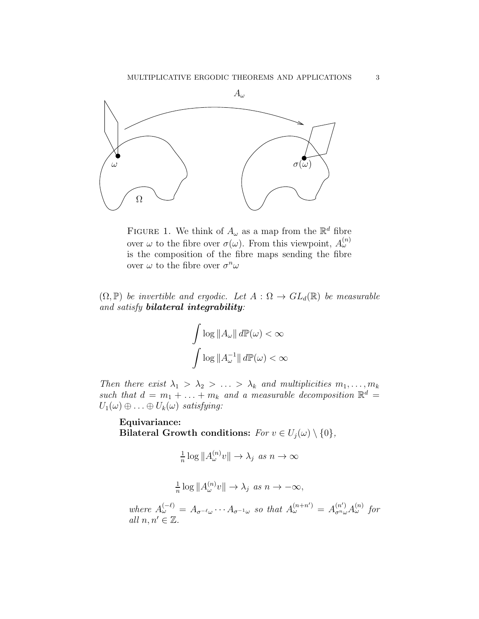

FIGURE 1. We think of  $A_{\omega}$  as a map from the  $\mathbb{R}^{d}$  fibre over  $\omega$  to the fibre over  $\sigma(\omega)$ . From this viewpoint,  $A_{\omega}^{(n)}$ is the composition of the fibre maps sending the fibre over  $\omega$  to the fibre over  $\sigma^n \omega$ 

 $(\Omega, \mathbb{P})$  be invertible and ergodic. Let  $A : \Omega \to GL_d(\mathbb{R})$  be measurable and satisfy bilateral integrability:

$$
\int \log ||A_{\omega}|| d\mathbb{P}(\omega) < \infty
$$

$$
\int \log ||A_{\omega}^{-1}|| d\mathbb{P}(\omega) < \infty
$$

Then there exist  $\lambda_1 > \lambda_2 > \ldots > \lambda_k$  and multiplicities  $m_1, \ldots, m_k$ such that  $d = m_1 + \ldots + m_k$  and a measurable decomposition  $\mathbb{R}^d$  =  $U_1(\omega) \oplus \ldots \oplus U_k(\omega)$  satisfying:

Equivariance: Bilateral Growth conditions:  $For v \in U_j(\omega) \setminus \{0\},$ 

$$
\tfrac{1}{n} \log ||A_\omega^{(n)} v|| \to \lambda_j \text{ as } n \to \infty
$$

$$
\frac{1}{n}\log||A_{\omega}^{(n)}v|| \to \lambda_j \text{ as } n \to -\infty,
$$

where  $A_{\omega}^{(-\ell)} = A_{\sigma^{-\ell}\omega} \cdots A_{\sigma^{-1}\omega}$  so that  $A_{\omega}^{(n+n')} = A_{\sigma^{n}\omega}^{(n')} A_{\omega}^{(n)}$  for all  $n, n' \in \mathbb{Z}$ .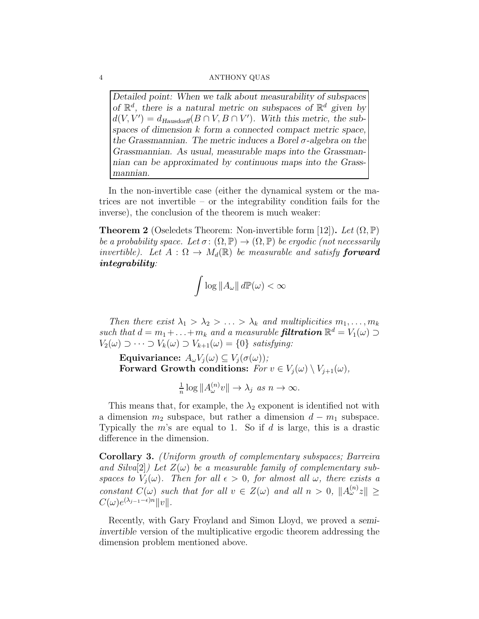Detailed point: When we talk about measurability of subspaces of  $\mathbb{R}^d$ , there is a natural metric on subspaces of  $\mathbb{R}^d$  given by  $d(V, V') = d_{Hausdorff}(B \cap V, B \cap V')$ . With this metric, the subspaces of dimension k form a connected compact metric space, the Grassmannian. The metric induces a Borel  $\sigma$ -algebra on the Grassmannian. As usual, measurable maps into the Grassmannian can be approximated by continuous maps into the Grassmannian.

In the non-invertible case (either the dynamical system or the matrices are not invertible – or the integrability condition fails for the inverse), the conclusion of the theorem is much weaker:

**Theorem 2** (Oseledets Theorem: Non-invertible form [12]). Let  $(\Omega, \mathbb{P})$ be a probability space. Let  $\sigma: (\Omega, \mathbb{P}) \to (\Omega, \mathbb{P})$  be ergodic (not necessarily invertible). Let  $A : \Omega \to M_d(\mathbb{R})$  be measurable and satisfy **forward** integrability:

$$
\int \log \|A_{\omega}\| \, d\mathbb{P}(\omega) < \infty
$$

Then there exist  $\lambda_1 > \lambda_2 > \ldots > \lambda_k$  and multiplicities  $m_1, \ldots, m_k$ such that  $d = m_1 + \ldots + m_k$  and a measurable **filtration**  $\mathbb{R}^d = V_1(\omega) \supset$  $V_2(\omega) \supset \cdots \supset V_k(\omega) \supset V_{k+1}(\omega) = \{0\}$  satisfying:

Equivariance:  $A_{\omega}V_i(\omega) \subseteq V_i(\sigma(\omega))$ ; Forward Growth conditions:  $For v \in V_j(\omega) \setminus V_{j+1}(\omega)$ ,

$$
\frac{1}{n}\log||A_{\omega}^{(n)}v|| \to \lambda_j \text{ as } n \to \infty.
$$

This means that, for example, the  $\lambda_2$  exponent is identified not with a dimension  $m_2$  subspace, but rather a dimension  $d - m_1$  subspace. Typically the  $m$ 's are equal to 1. So if  $d$  is large, this is a drastic difference in the dimension.

Corollary 3. (Uniform growth of complementary subspaces; Barreira and Silva $[2]$ ) Let  $Z(\omega)$  be a measurable family of complementary subspaces to  $V_i(\omega)$ . Then for all  $\epsilon > 0$ , for almost all  $\omega$ , there exists a constant  $C(\omega)$  such that for all  $v \in Z(\omega)$  and all  $n > 0$ ,  $||A_{\omega}^{(n)}z|| \geq$  $C(\omega)e^{(\lambda_{j-1}-\epsilon)n}||v||.$ 

Recently, with Gary Froyland and Simon Lloyd, we proved a semiinvertible version of the multiplicative ergodic theorem addressing the dimension problem mentioned above.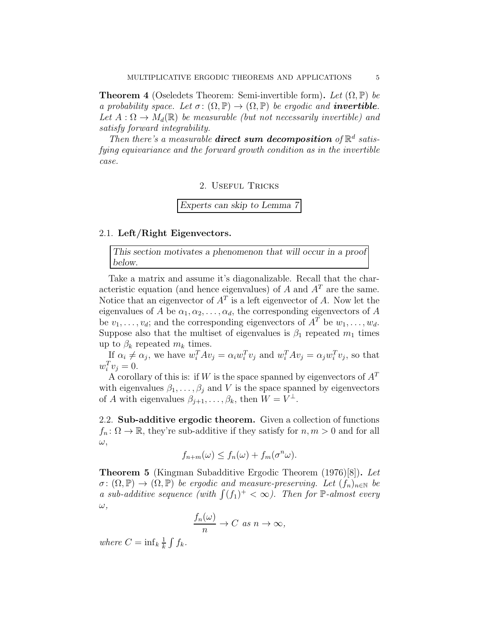**Theorem 4** (Oseledets Theorem: Semi-invertible form). Let  $(\Omega, \mathbb{P})$  be a probability space. Let  $\sigma: (\Omega, \mathbb{P}) \to (\Omega, \mathbb{P})$  be ergodic and **invertible**. Let  $A: \Omega \to M_d(\mathbb{R})$  be measurable (but not necessarily invertible) and satisfy forward integrability.

Then there's a measurable **direct sum decomposition** of  $\mathbb{R}^d$  satisfying equivariance and the forward growth condition as in the invertible case.

2. Useful Tricks

Experts can skip to Lemma 7

# 2.1. Left/Right Eigenvectors.

This section motivates a phenomenon that will occur in a proof below.

Take a matrix and assume it's diagonalizable. Recall that the characteristic equation (and hence eigenvalues) of A and  $A<sup>T</sup>$  are the same. Notice that an eigenvector of  $A<sup>T</sup>$  is a left eigenvector of A. Now let the eigenvalues of A be  $\alpha_1, \alpha_2, \ldots, \alpha_d$ , the corresponding eigenvectors of A be  $v_1, \ldots, v_d$ ; and the corresponding eigenvectors of  $A^T$  be  $w_1, \ldots, w_d$ . Suppose also that the multiset of eigenvalues is  $\beta_1$  repeated  $m_1$  times up to  $\beta_k$  repeated  $m_k$  times.

If  $\alpha_i \neq \alpha_j$ , we have  $w_i^T A v_j = \alpha_i w_i^T v_j$  and  $w_i^T A v_j = \alpha_j w_i^T v_j$ , so that  $w_i^T v_j = 0.$ 

A corollary of this is: if W is the space spanned by eigenvectors of  $A<sup>T</sup>$ with eigenvalues  $\beta_1, \ldots, \beta_j$  and V is the space spanned by eigenvectors of A with eigenvalues  $\beta_{j+1}, \ldots, \beta_k$ , then  $W = V^{\perp}$ .

2.2. Sub-additive ergodic theorem. Given a collection of functions  $f_n: \Omega \to \mathbb{R}$ , they're sub-additive if they satisfy for  $n, m > 0$  and for all  $\omega,$ 

$$
f_{n+m}(\omega) \le f_n(\omega) + f_m(\sigma^n \omega).
$$

Theorem 5 (Kingman Subadditive Ergodic Theorem (1976)[8]). Let  $\sigma: (\Omega, \mathbb{P}) \to (\Omega, \mathbb{P})$  be ergodic and measure-preserving. Let  $(f_n)_{n \in \mathbb{N}}$  be a sub-additive sequence (with  $\int (f_1)^+ < \infty$ ). Then for P-almost every  $\omega,$ 

$$
\frac{f_n(\omega)}{n} \to C \text{ as } n \to \infty,
$$

where  $C = \inf_k \frac{1}{k}$  $\frac{1}{k}\int f_k$ .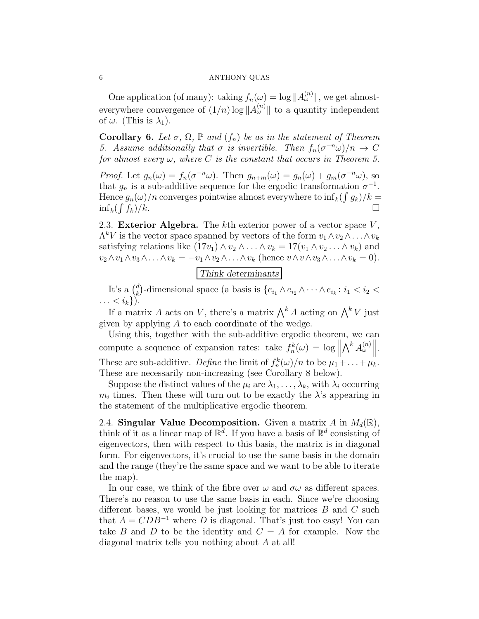One application (of many): taking  $f_n(\omega) = \log ||A_{\omega}^{(n)}||$ , we get almosteverywhere convergence of  $(1/n)$  log  $||A_{\omega}^{(n)}||$  to a quantity independent of  $\omega$ . (This is  $\lambda_1$ ).

Corollary 6. Let  $\sigma$ ,  $\Omega$ ,  $\mathbb P$  and  $(f_n)$  be as in the statement of Theorem 5. Assume additionally that  $\sigma$  is invertible. Then  $f_n(\sigma^{-n}\omega)/n \to C$ for almost every  $\omega$ , where C is the constant that occurs in Theorem 5.

Proof. Let  $g_n(\omega) = f_n(\sigma^{-n}\omega)$ . Then  $g_{n+m}(\omega) = g_n(\omega) + g_m(\sigma^{-n}\omega)$ , so that  $g_n$  is a sub-additive sequence for the ergodic transformation  $\sigma^{-1}$ . Hence  $g_n(\omega)/n$  converges pointwise almost everywhere to  $\inf_k(\int g_k)/k =$  $\inf_k (\int$  $f_k/k$ .

2.3. Exterior Algebra. The  $k$ th exterior power of a vector space  $V$ ,  $\Lambda^k V$  is the vector space spanned by vectors of the form  $v_1 \wedge v_2 \wedge \ldots \wedge v_k$ satisfying relations like  $(17v_1) \wedge v_2 \wedge \ldots \wedge v_k = 17(v_1 \wedge v_2 \ldots \wedge v_k)$  and  $v_2 \wedge v_1 \wedge v_3 \wedge \ldots \wedge v_k = -v_1 \wedge v_2 \wedge \ldots \wedge v_k$  (hence  $v \wedge v \wedge v_3 \wedge \ldots \wedge v_k = 0$ ).

Think determinants

It's a  $\binom{d}{k}$ <sup>d</sup><sub>k</sub>)-dimensional space (a basis is  $\{e_{i_1} \wedge e_{i_2} \wedge \cdots \wedge e_{i_k}: i_1 < i_2 < \cdots$  $\ldots < i_k$ ).

If a matrix A acts on V, there's a matrix  $\bigwedge^k A$  acting on  $\bigwedge^k V$  just given by applying A to each coordinate of the wedge.

Using this, together with the sub-additive ergodic theorem, we can compute a sequence of expansion rates: take  $f_n^k(\omega) = \log \left\| \bigwedge^k A_{\omega}^{(n)} \right\|.$  $\prod$ These are sub-additive. Define the limit of  $f_n^k(\omega)/n$  to be  $\mu_1 + \ldots + \mu_k$ . These are necessarily non-increasing (see Corollary 8 below).

Suppose the distinct values of the  $\mu_i$  are  $\lambda_1, \ldots, \lambda_k$ , with  $\lambda_i$  occurring  $m_i$  times. Then these will turn out to be exactly the  $\lambda$ 's appearing in the statement of the multiplicative ergodic theorem.

2.4. Singular Value Decomposition. Given a matrix A in  $M_d(\mathbb{R})$ , think of it as a linear map of  $\mathbb{R}^d$ . If you have a basis of  $\mathbb{R}^d$  consisting of eigenvectors, then with respect to this basis, the matrix is in diagonal form. For eigenvectors, it's crucial to use the same basis in the domain and the range (they're the same space and we want to be able to iterate the map).

In our case, we think of the fibre over  $\omega$  and  $\sigma\omega$  as different spaces. There's no reason to use the same basis in each. Since we're choosing different bases, we would be just looking for matrices  $B$  and  $C$  such that  $A = CDB^{-1}$  where D is diagonal. That's just too easy! You can take B and D to be the identity and  $C = A$  for example. Now the diagonal matrix tells you nothing about A at all!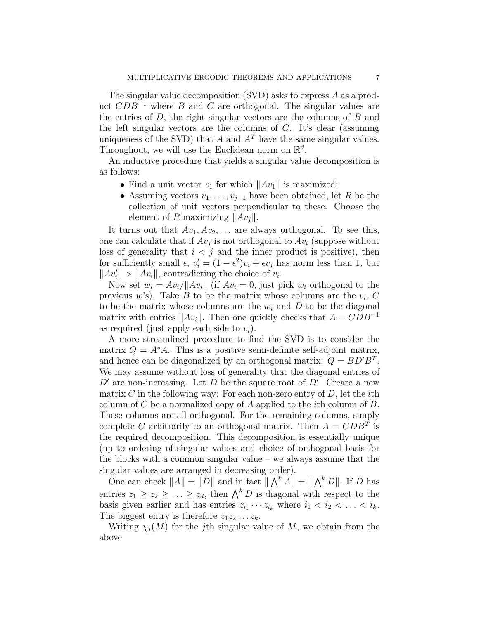The singular value decomposition (SVD) asks to express A as a product  $CDB^{-1}$  where B and C are orthogonal. The singular values are the entries of  $D$ , the right singular vectors are the columns of  $B$  and the left singular vectors are the columns of  $C$ . It's clear (assuming uniqueness of the SVD) that A and  $A<sup>T</sup>$  have the same singular values. Throughout, we will use the Euclidean norm on  $\mathbb{R}^d$ .

An inductive procedure that yields a singular value decomposition is as follows:

- Find a unit vector  $v_1$  for which  $||Av_1||$  is maximized;
- Assuming vectors  $v_1, \ldots, v_{j-1}$  have been obtained, let R be the collection of unit vectors perpendicular to these. Choose the element of R maximizing  $||Av_i||$ .

It turns out that  $Av_1, Av_2, \ldots$  are always orthogonal. To see this, one can calculate that if  $Av_j$  is not orthogonal to  $Av_i$  (suppose without loss of generality that  $i < j$  and the inner product is positive), then for sufficiently small  $\epsilon$ ,  $v_i' = (1 - \epsilon^2)v_i + \epsilon v_j$  has norm less than 1, but  $||Av'_i|| > ||Av_i||$ , contradicting the choice of  $v_i$ .

Now set  $w_i = Av_i / ||Av_i||$  (if  $Av_i = 0$ , just pick  $w_i$  orthogonal to the previous  $w$ 's). Take  $B$  to be the matrix whose columns are the  $v_i$ ,  $C$ to be the matrix whose columns are the  $w_i$  and  $D$  to be the diagonal matrix with entries  $||Av_i||$ . Then one quickly checks that  $A = CDB^{-1}$ as required (just apply each side to  $v_i$ ).

A more streamlined procedure to find the SVD is to consider the matrix  $Q = A^*A$ . This is a positive semi-definite self-adjoint matrix, and hence can be diagonalized by an orthogonal matrix:  $Q = BD'B^T$ . We may assume without loss of generality that the diagonal entries of  $D'$  are non-increasing. Let  $D$  be the square root of  $D'$ . Create a new matrix C in the following way: For each non-zero entry of  $D$ , let the *i*th column of C be a normalized copy of A applied to the *i*th column of  $B$ . These columns are all orthogonal. For the remaining columns, simply complete C arbitrarily to an orthogonal matrix. Then  $A = CDB^T$  is the required decomposition. This decomposition is essentially unique (up to ordering of singular values and choice of orthogonal basis for the blocks with a common singular value – we always assume that the singular values are arranged in decreasing order).

One can check  $||A|| = ||D||$  and in fact  $|| \bigwedge^k A|| = || \bigwedge^k D||$ . If D has entries  $z_1 \geq z_2 \geq \ldots \geq z_d$ , then  $\bigwedge^k D$  is diagonal with respect to the basis given earlier and has entries  $z_{i_1} \cdots z_{i_k}$  where  $i_1 < i_2 < \ldots < i_k$ . The biggest entry is therefore  $z_1z_2 \ldots z_k$ .

Writing  $\chi_i(M)$  for the j<sup>th</sup> singular value of M, we obtain from the above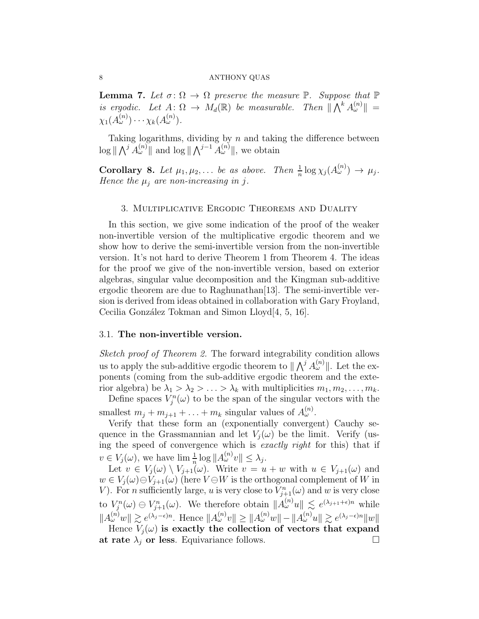**Lemma 7.** Let  $\sigma: \Omega \to \Omega$  preserve the measure  $\mathbb{P}$ . Suppose that  $\mathbb{P}$ is ergodic. Let  $A: \Omega \to M_d(\mathbb{R})$  be measurable. Then  $\|\bigwedge^k A^{(n)}_{\omega}\| =$  $\chi_1(A^{(n)}_\omega)\cdots\chi_k(A^{(n)}_\omega).$ 

Taking logarithms, dividing by  $n$  and taking the difference between  $\log \|\bigwedge^j A_{\omega}^{(n)}\|$  and  $\log \|\bigwedge^{j-1} A_{\omega}^{(n)}\|$ , we obtain

**Corollary 8.** Let  $\mu_1, \mu_2, \ldots$  be as above. Then  $\frac{1}{n} \log \chi_j(A_{\omega}^{(n)}) \to \mu_j$ . Hence the  $\mu_j$  are non-increasing in j.

## 3. Multiplicative Ergodic Theorems and Duality

In this section, we give some indication of the proof of the weaker non-invertible version of the multiplicative ergodic theorem and we show how to derive the semi-invertible version from the non-invertible version. It's not hard to derive Theorem 1 from Theorem 4. The ideas for the proof we give of the non-invertible version, based on exterior algebras, singular value decomposition and the Kingman sub-additive ergodic theorem are due to Raghunathan[13]. The semi-invertible version is derived from ideas obtained in collaboration with Gary Froyland, Cecilia González Tokman and Simon Lloyd<sup>[4, 5, 16].</sup>

# 3.1. The non-invertible version.

Sketch proof of Theorem 2. The forward integrability condition allows us to apply the sub-additive ergodic theorem to  $\|\bigwedge^j A_\omega^{(n)}\|$ . Let the exponents (coming from the sub-additive ergodic theorem and the exterior algebra) be  $\lambda_1 > \lambda_2 > \ldots > \lambda_k$  with multiplicities  $m_1, m_2, \ldots, m_k$ .

Define spaces  $V_j^n(\omega)$  to be the span of the singular vectors with the smallest  $m_j + m_{j+1} + \ldots + m_k$  singular values of  $A_{\omega}^{(n)}$ .

Verify that these form an (exponentially convergent) Cauchy sequence in the Grassmannian and let  $V_i(\omega)$  be the limit. Verify (using the speed of convergence which is exactly right for this) that if  $v \in V_j(\omega)$ , we have  $\lim_{n} \frac{1}{n} \log ||A_{\omega}^{(n)}v|| \leq \lambda_j$ .

Let  $v \in V_j(\omega) \setminus V_{j+1}(\omega)$ . Write  $v = u + w$  with  $u \in V_{j+1}(\omega)$  and  $w \in V_i(\omega) \ominus V_{i+1}(\omega)$  (here  $V \ominus W$  is the orthogonal complement of W in V). For *n* sufficiently large, *u* is very close to  $V_{j+1}^n(\omega)$  and *w* is very close to  $V_j^n(\omega) \ominus V_{j+1}^n(\omega)$ . We therefore obtain  $||A_{\omega}^{(n)}u|| \leq e^{(\lambda_{j+1}+\epsilon)n}$  while  $||A_{\omega}^{(n)}w|| \gtrsim e^{(\lambda_j - \epsilon)n}$ . Hence  $||A_{\omega}^{(n)}v|| \ge ||A_{\omega}^{(n)}w|| - ||A_{\omega}^{(n)}u|| \gtrsim e^{(\lambda_j - \epsilon)n}||w||$ Hence  $V_i(\omega)$  is exactly the collection of vectors that expand

at rate  $\lambda_j$  or less. Equivariance follows.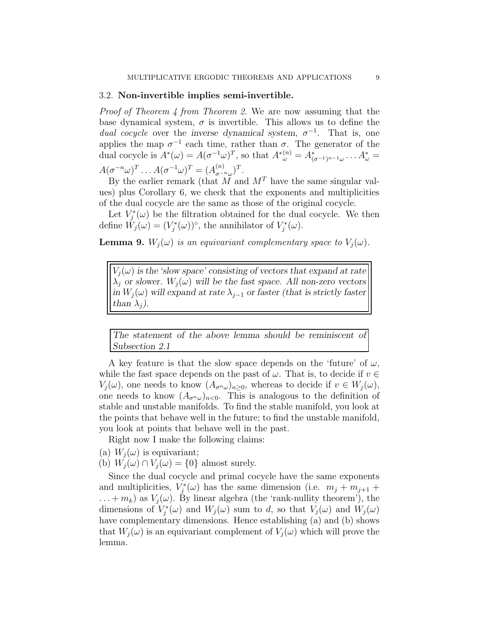## 3.2. Non-invertible implies semi-invertible.

Proof of Theorem 4 from Theorem 2. We are now assuming that the base dynamical system,  $\sigma$  is invertible. This allows us to define the *dual cocycle* over the inverse dynamical system,  $\sigma^{-1}$ . That is, one applies the map  $\sigma^{-1}$  each time, rather than  $\sigma$ . The generator of the dual cocycle is  $A^*(\omega) = A(\sigma^{-1}\omega)^T$ , so that  $A^*(\omega) = A^*_{(\sigma^{-1})^{n-1}\omega} \dots A^*_{\omega} =$  $A(\sigma^{-n}\omega)^T \dots A(\sigma^{-1}\omega)^T = (A_{\sigma^{-n}\omega}^{(n)})^T.$ 

By the earlier remark (that M and  $M<sup>T</sup>$  have the same singular values) plus Corollary 6, we check that the exponents and multiplicities of the dual cocycle are the same as those of the original cocycle.

Let  $V_j^*(\omega)$  be the filtration obtained for the dual cocycle. We then define  $\tilde{W}_j(\omega) = (V_j^*(\omega))^{\circ}$ , the annihilator of  $V_j^*(\omega)$ .

**Lemma 9.**  $W_i(\omega)$  is an equivariant complementary space to  $V_i(\omega)$ .

 $V_i(\omega)$  is the 'slow space' consisting of vectors that expand at rate  $\lambda_j$  or slower.  $W_j(\omega)$  will be the fast space. All non-zero vectors in  $W_i(\omega)$  will expand at rate  $\lambda_{i-1}$  or faster (that is strictly faster than  $\lambda_j$ ).

The statement of the above lemma should be reminiscent of Subsection 2.1

A key feature is that the slow space depends on the 'future' of  $\omega$ , while the fast space depends on the past of  $\omega$ . That is, to decide if  $v \in$  $V_j(\omega)$ , one needs to know  $(A_{\sigma^n\omega})_{n\geq 0}$ , whereas to decide if  $v \in W_j(\omega)$ , one needs to know  $(A_{\sigma^n\omega})_{n<0}$ . This is analogous to the definition of stable and unstable manifolds. To find the stable manifold, you look at the points that behave well in the future; to find the unstable manifold, you look at points that behave well in the past.

Right now I make the following claims:

- (a)  $W_i(\omega)$  is equivariant;
- (b)  $W_i(\omega) \cap V_i(\omega) = \{0\}$  almost surely.

Since the dual cocycle and primal cocycle have the same exponents and multiplicities,  $V_j^*(\omega)$  has the same dimension (i.e.  $m_j + m_{j+1}$ )  $\dots + m_k$ ) as  $V_i(\omega)$ . By linear algebra (the 'rank-nullity theorem'), the dimensions of  $V_j^*(\omega)$  and  $W_j(\omega)$  sum to d, so that  $V_j(\omega)$  and  $W_j(\omega)$ have complementary dimensions. Hence establishing (a) and (b) shows that  $W_i(\omega)$  is an equivariant complement of  $V_i(\omega)$  which will prove the lemma.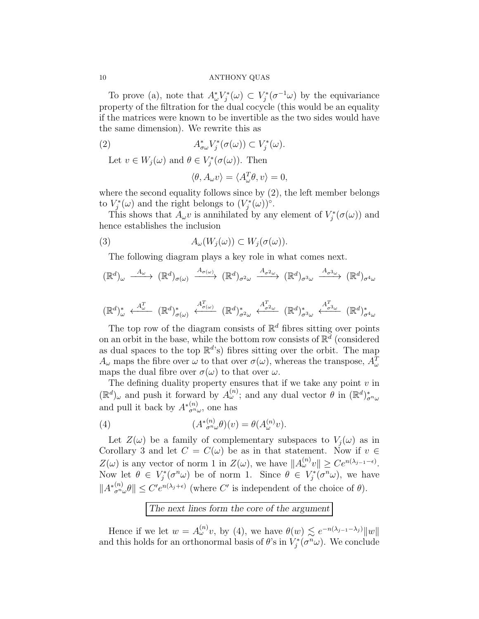To prove (a), note that  $A^*_{\omega}V^*_{j}(\omega) \subset V^*_{j}(\sigma^{-1}\omega)$  by the equivariance property of the filtration for the dual cocycle (this would be an equality if the matrices were known to be invertible as the two sides would have the same dimension). We rewrite this as

(2) 
$$
A^*_{\sigma\omega}V^*_j(\sigma(\omega))\subset V^*_j(\omega).
$$

Let  $v \in W_j(\omega)$  and  $\theta \in V_j^*(\sigma(\omega))$ . Then

$$
\langle \theta, A_{\omega} v \rangle = \langle A_{\omega}^T \theta, v \rangle = 0,
$$

where the second equality follows since by (2), the left member belongs to  $V_j^*(\omega)$  and the right belongs to  $(V_j^*(\omega))^{\circ}$ .

This shows that  $A_{\omega}v$  is annihilated by any element of  $V_j^*(\sigma(\omega))$  and hence establishes the inclusion

(3) 
$$
A_{\omega}(W_j(\omega)) \subset W_j(\sigma(\omega)).
$$

The following diagram plays a key role in what comes next.

$$
(\mathbb{R}^d)_{\omega} \xrightarrow{A_{\omega}} (\mathbb{R}^d)_{\sigma(\omega)} \xrightarrow{A_{\sigma(\omega)}} (\mathbb{R}^d)_{\sigma^2 \omega} \xrightarrow{A_{\sigma^2 \omega}} (\mathbb{R}^d)_{\sigma^3 \omega} \xrightarrow{A_{\sigma^3 \omega}} (\mathbb{R}^d)_{\sigma^4 \omega}
$$

$$
(\mathbb{R}^d)^*_{\omega} \xleftarrow{A_{\omega}^T} (\mathbb{R}^d)^*_{\sigma(\omega)} \xleftarrow{A_{\sigma(\omega)}^T} (\mathbb{R}^d)^*_{\sigma^2 \omega} \xleftarrow{A_{\sigma^2 \omega}^T} (\mathbb{R}^d)^*_{\sigma^3 \omega} \xleftarrow{A_{\sigma^3 \omega}^T} (\mathbb{R}^d)^*_{\sigma^4 \omega}
$$

The top row of the diagram consists of  $\mathbb{R}^d$  fibres sitting over points on an orbit in the base, while the bottom row consists of  $\mathbb{R}^d$  (considered as dual spaces to the top  $\mathbb{R}^{d}$ 's) fibres sitting over the orbit. The map  $A_{\omega}$  maps the fibre over  $\omega$  to that over  $\sigma(\omega)$ , whereas the transpose,  $A_{\omega}^{T}$ maps the dual fibre over  $\sigma(\omega)$  to that over  $\omega$ .

The defining duality property ensures that if we take any point  $v$  in  $(\mathbb{R}^d)_{\omega}$  and push it forward by  $A_{\omega}^{(n)}$ ; and any dual vector  $\theta$  in  $(\mathbb{R}^d)_{\sigma^n\omega}^*$ and pull it back by  $A_{\sigma^n\omega}^{*(n)}$ , one has

(4) 
$$
(A^{*(n)}_{\sigma^n\omega}\theta)(v) = \theta(A^{(n)}_{\omega}v).
$$

Let  $Z(\omega)$  be a family of complementary subspaces to  $V_j(\omega)$  as in Corollary 3 and let  $C = C(\omega)$  be as in that statement. Now if  $v \in$  $Z(\omega)$  is any vector of norm 1 in  $Z(\omega)$ , we have  $||A_{\omega}^{(n)}v|| \geq Ce^{n(\lambda_{j-1}-\epsilon)}$ . Now let  $\theta \in V_j^*(\sigma^n \omega)$  be of norm 1. Since  $\theta \in V_j^*(\sigma^n \omega)$ , we have  $||A_{\sigma^n\omega}^{*(n)}\theta|| \leq C'e^{n(\lambda_j+\epsilon)}$  (where C' is independent of the choice of  $\theta$ ).

The next lines form the core of the argument

Hence if we let  $w = A_{\omega}^{(n)}v$ , by (4), we have  $\theta(w) \lesssim e^{-n(\lambda_{j-1}-\lambda_j)}||w||$ and this holds for an orthonormal basis of  $\theta$ 's in  $V_j^*(\sigma^n \omega)$ . We conclude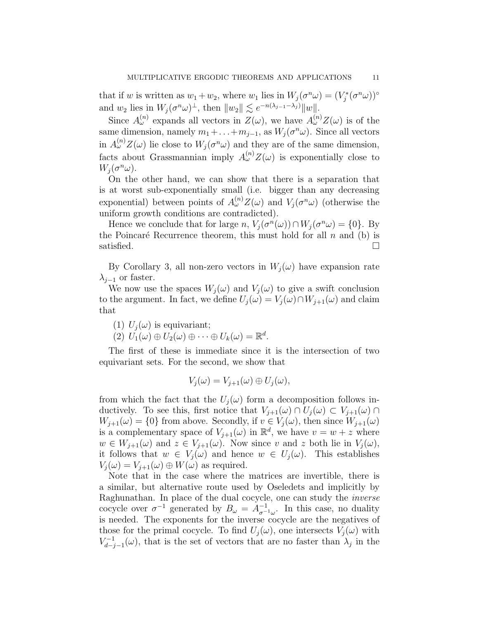that if w is written as  $w_1 + w_2$ , where  $w_1$  lies in  $W_j(\sigma^n \omega) = (V_j^*(\sigma^n \omega))^{\circ}$ and  $w_2$  lies in  $W_j(\sigma^n \omega)^\perp$ , then  $||w_2|| \lesssim e^{-n(\lambda_{j-1}-\lambda_j)} ||w||$ .

Since  $A_{\omega}^{(n)}$  expands all vectors in  $Z(\omega)$ , we have  $A_{\omega}^{(n)}Z(\omega)$  is of the same dimension, namely  $m_1 + \ldots + m_{j-1}$ , as  $W_j(\sigma^n \omega)$ . Since all vectors in  $A_{\omega}^{(n)}Z(\omega)$  lie close to  $W_j(\sigma^n\omega)$  and they are of the same dimension, facts about Grassmannian imply  $A_{\omega}^{(n)}Z(\omega)$  is exponentially close to  $W_j(\sigma^n\omega).$ 

On the other hand, we can show that there is a separation that is at worst sub-exponentially small (i.e. bigger than any decreasing exponential) between points of  $A_{\omega}^{(n)}Z(\omega)$  and  $V_j(\sigma^n\omega)$  (otherwise the uniform growth conditions are contradicted).

Hence we conclude that for large  $n, V_j(\sigma^n(\omega)) \cap W_j(\sigma^n \omega) = \{0\}.$  By the Poincaré Recurrence theorem, this must hold for all  $n$  and (b) is satisfied.  $\Box$ 

By Corollary 3, all non-zero vectors in  $W_i(\omega)$  have expansion rate  $\lambda_{j-1}$  or faster.

We now use the spaces  $W_i(\omega)$  and  $V_i(\omega)$  to give a swift conclusion to the argument. In fact, we define  $U_j(\omega) = V_j(\omega) \cap W_{j+1}(\omega)$  and claim that

(1)  $U_i(\omega)$  is equivariant;

(2)  $U_1(\omega) \oplus U_2(\omega) \oplus \cdots \oplus U_k(\omega) = \mathbb{R}^d$ .

The first of these is immediate since it is the intersection of two equivariant sets. For the second, we show that

$$
V_j(\omega) = V_{j+1}(\omega) \oplus U_j(\omega),
$$

from which the fact that the  $U_i(\omega)$  form a decomposition follows inductively. To see this, first notice that  $V_{j+1}(\omega) \cap U_j(\omega) \subset V_{j+1}(\omega) \cap$  $W_{j+1}(\omega) = \{0\}$  from above. Secondly, if  $v \in V_j(\omega)$ , then since  $W_{j+1}(\omega)$ is a complementary space of  $V_{j+1}(\omega)$  in  $\mathbb{R}^d$ , we have  $v = w + z$  where  $w \in W_{j+1}(\omega)$  and  $z \in V_{j+1}(\omega)$ . Now since v and z both lie in  $V_j(\omega)$ , it follows that  $w \in V_j(\omega)$  and hence  $w \in U_j(\omega)$ . This establishes  $V_j(\omega) = V_{j+1}(\omega) \oplus W(\omega)$  as required.

Note that in the case where the matrices are invertible, there is a similar, but alternative route used by Oseledets and implicitly by Raghunathan. In place of the dual cocycle, one can study the inverse cocycle over  $\sigma^{-1}$  generated by  $B_{\omega} = A_{\sigma^{-1}\omega}^{-1}$ . In this case, no duality is needed. The exponents for the inverse cocycle are the negatives of those for the primal cocycle. To find  $U_i(\omega)$ , one intersects  $V_i(\omega)$  with  $V_{d-1}^{-1}$  $d_{d-j-1}(\omega)$ , that is the set of vectors that are no faster than  $\lambda_j$  in the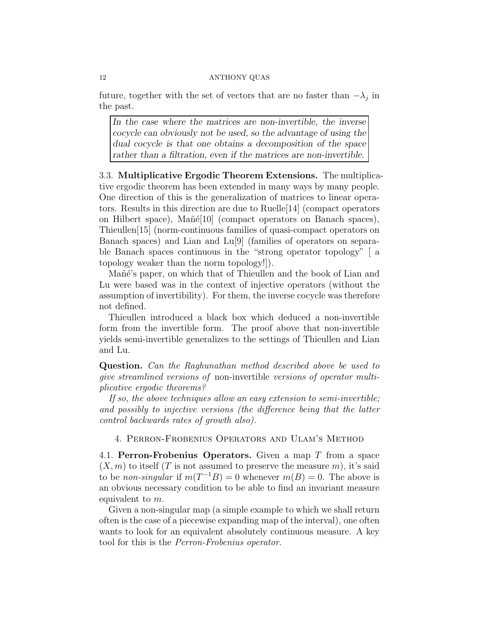future, together with the set of vectors that are no faster than  $-\lambda_j$  in the past.

In the case where the matrices are non-invertible, the inverse cocycle can obviously not be used, so the advantage of using the dual cocycle is that one obtains a decomposition of the space rather than a filtration, even if the matrices are non-invertible.

3.3. Multiplicative Ergodic Theorem Extensions. The multiplicative ergodic theorem has been extended in many ways by many people. One direction of this is the generalization of matrices to linear operators. Results in this direction are due to Ruelle[14] (compact operators on Hilbert space), Mañé<sup>[10]</sup> (compact operators on Banach spaces), Thieullen[15] (norm-continuous families of quasi-compact operators on Banach spaces) and Lian and Lu[9] (families of operators on separable Banach spaces continuous in the "strong operator topology" [ a topology weaker than the norm topology!]).

Mañé's paper, on which that of Thieullen and the book of Lian and Lu were based was in the context of injective operators (without the assumption of invertibility). For them, the inverse cocycle was therefore not defined.

Thieullen introduced a black box which deduced a non-invertible form from the invertible form. The proof above that non-invertible yields semi-invertible generalizes to the settings of Thieullen and Lian and Lu.

Question. Can the Raghunathan method described above be used to give streamlined versions of non-invertible versions of operator multiplicative ergodic theorems?

If so, the above techniques allow an easy extension to semi-invertible; and possibly to injective versions (the difference being that the latter control backwards rates of growth also).

4. Perron-Frobenius Operators and Ulam's Method

4.1. Perron-Frobenius Operators. Given a map T from a space  $(X, m)$  to itself (T is not assumed to preserve the measure m), it's said to be *non-singular* if  $m(T^{-1}B) = 0$  whenever  $m(B) = 0$ . The above is an obvious necessary condition to be able to find an invariant measure equivalent to m.

Given a non-singular map (a simple example to which we shall return often is the case of a piecewise expanding map of the interval), one often wants to look for an equivalent absolutely continuous measure. A key tool for this is the Perron-Frobenius operator.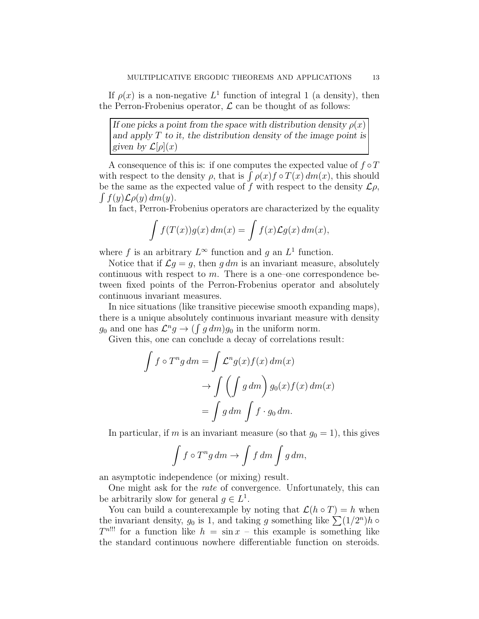If  $\rho(x)$  is a non-negative  $L^1$  function of integral 1 (a density), then the Perron-Frobenius operator,  $\mathcal L$  can be thought of as follows:

If one picks a point from the space with distribution density  $\rho(x)$ and apply  $T$  to it, the distribution density of the image point is given by  $\mathcal{L}[\rho](x)$ 

A consequence of this is: if one computes the expected value of  $f\circ T$ with respect to the density  $\rho$ , that is  $\int \rho(x) f \circ T(x) dm(x)$ , this should be the same as the expected value of f with respect to the density  $\mathcal{L}_{\rho}$ ,  $\int f(y) \mathcal{L} \rho(y) dm(y).$ 

In fact, Perron-Frobenius operators are characterized by the equality

$$
\int f(T(x))g(x) dm(x) = \int f(x)\mathcal{L}g(x) dm(x),
$$

where f is an arbitrary  $L^{\infty}$  function and g an  $L^{1}$  function.

Notice that if  $\mathcal{L}g = g$ , then g dm is an invariant measure, absolutely continuous with respect to  $m$ . There is a one-one correspondence between fixed points of the Perron-Frobenius operator and absolutely continuous invariant measures.

In nice situations (like transitive piecewise smooth expanding maps), there is a unique absolutely continuous invariant measure with density  $g_0$  and one has  $\mathcal{L}^n g \to \left( \int g \, dm \right) g_0$  in the uniform norm.

Given this, one can conclude a decay of correlations result:

$$
\int f \circ T^n g \, dm = \int \mathcal{L}^n g(x) f(x) \, dm(x)
$$

$$
\to \int \left( \int g \, dm \right) g_0(x) f(x) \, dm(x)
$$

$$
= \int g \, dm \int f \cdot g_0 \, dm.
$$

In particular, if m is an invariant measure (so that  $g_0 = 1$ ), this gives

$$
\int f \circ T^n g \, dm \to \int f \, dm \int g \, dm,
$$

an asymptotic independence (or mixing) result.

One might ask for the rate of convergence. Unfortunately, this can be arbitrarily slow for general  $g \in L^1$ .

You can build a counterexample by noting that  $\mathcal{L}(h \circ T) = h$  when the invariant density,  $g_0$  is 1, and taking g something like  $\sum (1/2^n)h$  $T^{n}$ !!! for a function like  $h = \sin x - \text{this example}$  is something like the standard continuous nowhere differentiable function on steroids.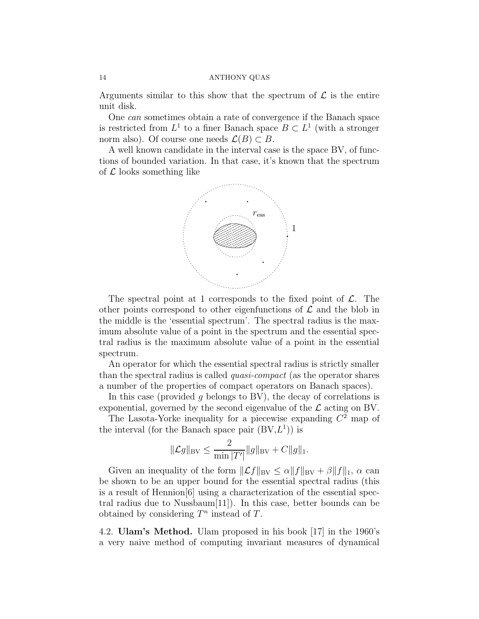Arguments similar to this show that the spectrum of  $\mathcal L$  is the entire unit disk.

One can sometimes obtain a rate of convergence if the Banach space is restricted from  $L^1$  to a finer Banach space  $B \subset L^1$  (with a stronger norm also). Of course one needs  $\mathcal{L}(B) \subset B$ .

A well known candidate in the interval case is the space BV, of functions of bounded variation. In that case, it's known that the spectrum of  $\mathcal L$  looks something like



The spectral point at 1 corresponds to the fixed point of  $\mathcal{L}$ . The other points correspond to other eigenfunctions of  $\mathcal L$  and the blob in the middle is the 'essential spectrum'. The spectral radius is the maximum absolute value of a point in the spectrum and the essential spectral radius is the maximum absolute value of a point in the essential spectrum.

An operator for which the essential spectral radius is strictly smaller than the spectral radius is called quasi-compact (as the operator shares a number of the properties of compact operators on Banach spaces).

In this case (provided  $q$  belongs to BV), the decay of correlations is exponential, governed by the second eigenvalue of the  $\mathcal L$  acting on BV.

The Lasota-Yorke inequality for a piecewise expanding  $C<sup>2</sup>$  map of the interval (for the Banach space pair  $(BV,L<sup>1</sup>)$ ) is

$$
\|\mathcal{L}g\|_{\text{BV}} \le \frac{2}{\min |T'|} \|g\|_{\text{BV}} + C\|g\|_{1}.
$$

Given an inequality of the form  $\|\mathcal{L}f\|_{BV} \leq \alpha \|f\|_{BV} + \beta \|f\|_{1}$ ,  $\alpha$  can be shown to be an upper bound for the essential spectral radius (this is a result of Hennion[6] using a characterization of the essential spectral radius due to Nussbaum[11]). In this case, better bounds can be obtained by considering  $T^n$  instead of T.

4.2. Ulam's Method. Ulam proposed in his book [17] in the 1960's a very naive method of computing invariant measures of dynamical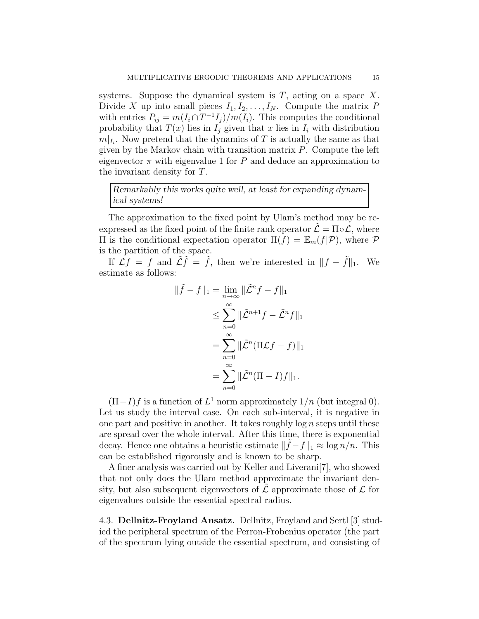systems. Suppose the dynamical system is  $T$ , acting on a space  $X$ . Divide X up into small pieces  $I_1, I_2, \ldots, I_N$ . Compute the matrix P with entries  $P_{ij} = m(I_i \cap T^{-1}I_j)/m(I_i)$ . This computes the conditional probability that  $T(x)$  lies in  $I_i$  given that x lies in  $I_i$  with distribution  $m|_{I_i}$ . Now pretend that the dynamics of T is actually the same as that given by the Markov chain with transition matrix  $P$ . Compute the left eigenvector  $\pi$  with eigenvalue 1 for P and deduce an approximation to the invariant density for T.

Remarkably this works quite well, at least for expanding dynamical systems!

The approximation to the fixed point by Ulam's method may be reexpressed as the fixed point of the finite rank operator  $\mathcal{L} = \Pi \circ \mathcal{L}$ , where Π is the conditional expectation operator  $\Pi(f) = \mathbb{E}_m(f|\mathcal{P})$ , where  $\mathcal P$ is the partition of the space.

If  $\mathcal{L}f = f$  and  $\tilde{\mathcal{L}}\tilde{f} = \tilde{f}$ , then we're interested in  $||f - \tilde{f}||_1$ . We estimate as follows:

$$
\|\tilde{f} - f\|_1 = \lim_{n \to \infty} \|\tilde{L}^n f - f\|_1
$$
  
\n
$$
\leq \sum_{n=0}^{\infty} \|\tilde{L}^{n+1} f - \tilde{L}^n f\|_1
$$
  
\n
$$
= \sum_{n=0}^{\infty} \|\tilde{L}^n (\Pi \mathcal{L} f - f)\|_1
$$
  
\n
$$
= \sum_{n=0}^{\infty} \|\tilde{L}^n (\Pi - I) f\|_1.
$$

 $(\Pi - I)f$  is a function of  $L^1$  norm approximately  $1/n$  (but integral 0). Let us study the interval case. On each sub-interval, it is negative in one part and positive in another. It takes roughly  $\log n$  steps until these are spread over the whole interval. After this time, there is exponential decay. Hence one obtains a heuristic estimate  $\|\tilde{f} - f\|_1 \approx \log n/n$ . This can be established rigorously and is known to be sharp.

A finer analysis was carried out by Keller and Liverani[7], who showed that not only does the Ulam method approximate the invariant density, but also subsequent eigenvectors of  $\mathcal L$  approximate those of  $\mathcal L$  for eigenvalues outside the essential spectral radius.

4.3. Dellnitz-Froyland Ansatz. Dellnitz, Froyland and Sertl [3] studied the peripheral spectrum of the Perron-Frobenius operator (the part of the spectrum lying outside the essential spectrum, and consisting of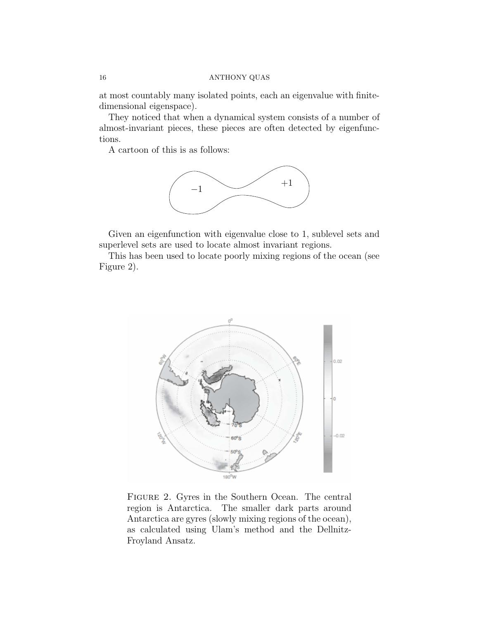at most countably many isolated points, each an eigenvalue with finitedimensional eigenspace).

They noticed that when a dynamical system consists of a number of almost-invariant pieces, these pieces are often detected by eigenfunctions.

A cartoon of this is as follows:



Given an eigenfunction with eigenvalue close to 1, sublevel sets and superlevel sets are used to locate almost invariant regions.

This has been used to locate poorly mixing regions of the ocean (see Figure 2).



Figure 2. Gyres in the Southern Ocean. The central region is Antarctica. The smaller dark parts around Antarctica are gyres (slowly mixing regions of the ocean), as calculated using Ulam's method and the Dellnitz-Froyland Ansatz.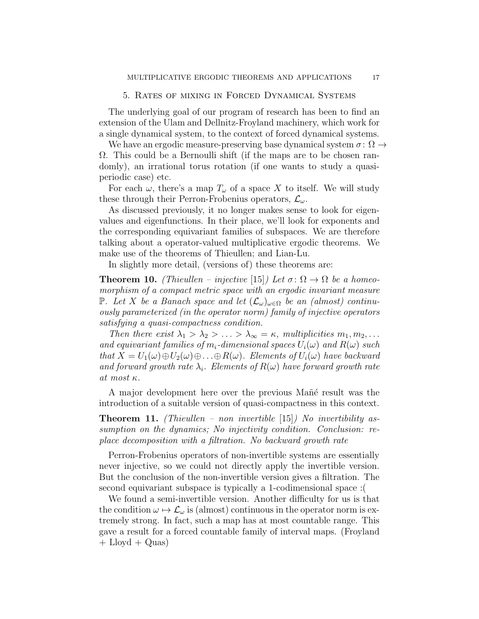# 5. Rates of mixing in Forced Dynamical Systems

The underlying goal of our program of research has been to find an extension of the Ulam and Dellnitz-Froyland machinery, which work for a single dynamical system, to the context of forced dynamical systems.

We have an ergodic measure-preserving base dynamical system  $\sigma \colon \Omega \to$  $\Omega$ . This could be a Bernoulli shift (if the maps are to be chosen randomly), an irrational torus rotation (if one wants to study a quasiperiodic case) etc.

For each  $\omega$ , there's a map  $T_{\omega}$  of a space X to itself. We will study these through their Perron-Frobenius operators,  $\mathcal{L}_{\omega}$ .

As discussed previously, it no longer makes sense to look for eigenvalues and eigenfunctions. In their place, we'll look for exponents and the corresponding equivariant families of subspaces. We are therefore talking about a operator-valued multiplicative ergodic theorems. We make use of the theorems of Thieullen; and Lian-Lu.

In slightly more detail, (versions of) these theorems are:

**Theorem 10.** (Thieullen – injective [15]) Let  $\sigma: \Omega \to \Omega$  be a homeomorphism of a compact metric space with an ergodic invariant measure P. Let X be a Banach space and let  $(\mathcal{L}_{\omega})_{\omega \in \Omega}$  be an (almost) continuously parameterized (in the operator norm) family of injective operators satisfying a quasi-compactness condition.

Then there exist  $\lambda_1 > \lambda_2 > \ldots > \lambda_\infty = \kappa$ , multiplicities  $m_1, m_2, \ldots$ and equivariant families of  $m_i$ -dimensional spaces  $U_i(\omega)$  and  $R(\omega)$  such that  $X = U_1(\omega) \oplus U_2(\omega) \oplus \ldots \oplus R(\omega)$ . Elements of  $U_i(\omega)$  have backward and forward growth rate  $\lambda_i$ . Elements of  $R(\omega)$  have forward growth rate at most κ.

A major development here over the previous Mañé result was the introduction of a suitable version of quasi-compactness in this context.

**Theorem 11.** (Thieullen – non invertible [15]) No invertibility assumption on the dynamics; No injectivity condition. Conclusion: replace decomposition with a filtration. No backward growth rate

Perron-Frobenius operators of non-invertible systems are essentially never injective, so we could not directly apply the invertible version. But the conclusion of the non-invertible version gives a filtration. The second equivariant subspace is typically a 1-codimensional space :(

We found a semi-invertible version. Another difficulty for us is that the condition  $\omega \mapsto \mathcal{L}_{\omega}$  is (almost) continuous in the operator norm is extremely strong. In fact, such a map has at most countable range. This gave a result for a forced countable family of interval maps. (Froyland  $+$  Lloyd  $+$  Quas)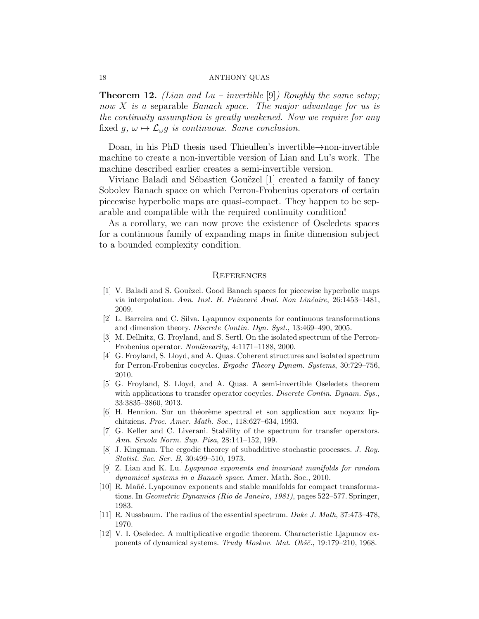**Theorem 12.** *(Lian and Lu – invertible* [9]*)* Roughly the same setup; now X is a separable Banach space. The major advantage for us is the continuity assumption is greatly weakened. Now we require for any fixed  $g, \omega \mapsto \mathcal{L}_{\omega}g$  is continuous. Same conclusion.

Doan, in his PhD thesis used Thieullen's invertible→non-invertible machine to create a non-invertible version of Lian and Lu's work. The machine described earlier creates a semi-invertible version.

Viviane Baladi and Sébastien Gouëzel [1] created a family of fancy Sobolev Banach space on which Perron-Frobenius operators of certain piecewise hyperbolic maps are quasi-compact. They happen to be separable and compatible with the required continuity condition!

As a corollary, we can now prove the existence of Oseledets spaces for a continuous family of expanding maps in finite dimension subject to a bounded complexity condition.

## **REFERENCES**

- [1] V. Baladi and S. Gouëzel. Good Banach spaces for piecewise hyperbolic maps via interpolation. Ann. Inst. H. Poincaré Anal. Non Linéaire, 26:1453-1481, 2009.
- [2] L. Barreira and C. Silva. Lyapunov exponents for continuous transformations and dimension theory. Discrete Contin. Dyn. Syst., 13:469–490, 2005.
- [3] M. Dellnitz, G. Froyland, and S. Sertl. On the isolated spectrum of the Perron-Frobenius operator. Nonlinearity, 4:1171–1188, 2000.
- [4] G. Froyland, S. Lloyd, and A. Quas. Coherent structures and isolated spectrum for Perron-Frobenius cocycles. Ergodic Theory Dynam. Systems, 30:729–756, 2010.
- [5] G. Froyland, S. Lloyd, and A. Quas. A semi-invertible Oseledets theorem with applications to transfer operator cocycles. Discrete Contin. Dynam. Sys., 33:3835–3860, 2013.
- [6] H. Hennion. Sur un théorème spectral et son application aux noyaux lipchitziens. Proc. Amer. Math. Soc., 118:627–634, 1993.
- [7] G. Keller and C. Liverani. Stability of the spectrum for transfer operators. Ann. Scuola Norm. Sup. Pisa, 28:141–152, 199.
- [8] J. Kingman. The ergodic theorey of subadditive stochastic processes. J. Roy. Statist. Soc. Ser. B, 30:499–510, 1973.
- [9] Z. Lian and K. Lu. Lyapunov exponents and invariant manifolds for random dynamical systems in a Banach space. Amer. Math. Soc., 2010.
- [10] R. Mañé. Lyapounov exponents and stable manifolds for compact transformations. In Geometric Dynamics (Rio de Janeiro, 1981), pages 522–577. Springer, 1983.
- [11] R. Nussbaum. The radius of the essential spectrum. Duke J. Math, 37:473–478, 1970.
- [12] V. I. Oseledec. A multiplicative ergodic theorem. Characteristic Ljapunov exponents of dynamical systems. Trudy Moskov. Mat. Obšč., 19:179-210, 1968.